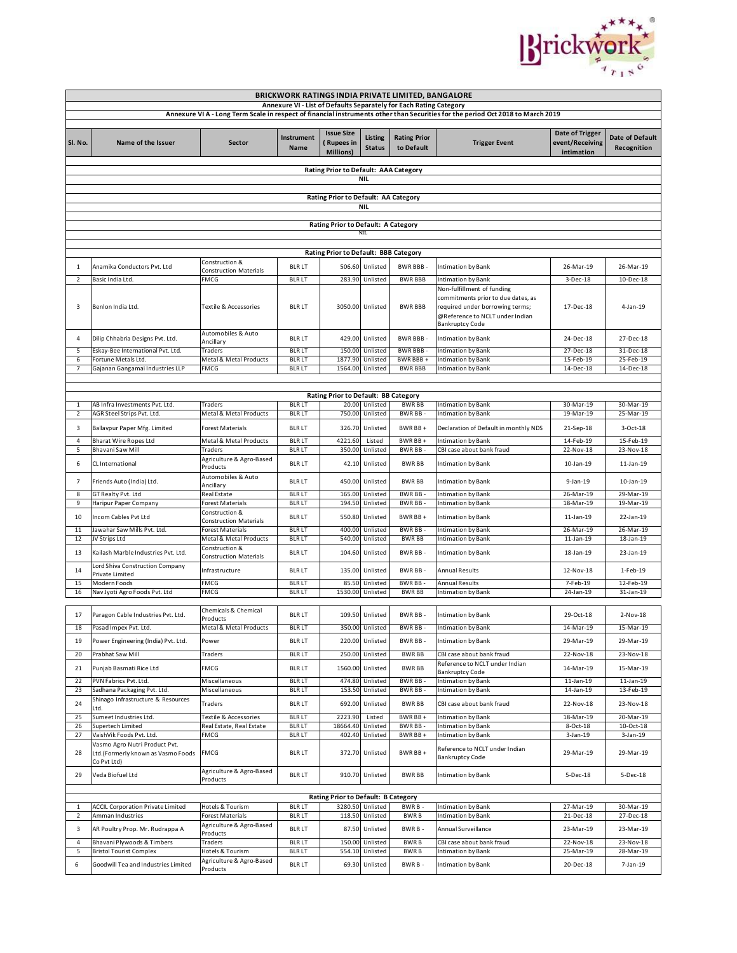

|                                                                                                                                 | BRICKWORK RATINGS INDIA PRIVATE LIMITED, BANGALORE        |                                                   |                              |                                                           |                              |                                   |                                                                                                                                                                  |                                                  |                                       |  |  |  |
|---------------------------------------------------------------------------------------------------------------------------------|-----------------------------------------------------------|---------------------------------------------------|------------------------------|-----------------------------------------------------------|------------------------------|-----------------------------------|------------------------------------------------------------------------------------------------------------------------------------------------------------------|--------------------------------------------------|---------------------------------------|--|--|--|
| Annexure VI - List of Defaults Separately for Each Rating Category                                                              |                                                           |                                                   |                              |                                                           |                              |                                   |                                                                                                                                                                  |                                                  |                                       |  |  |  |
| Annexure VI A - Long Term Scale in respect of financial instruments other than Securities for the period Oct 2018 to March 2019 |                                                           |                                                   |                              |                                                           |                              |                                   |                                                                                                                                                                  |                                                  |                                       |  |  |  |
| Sl. No.                                                                                                                         | Name of the Issuer                                        | <b>Sector</b>                                     | Instrument<br><b>Name</b>    | <b>Issue Size</b><br><b>Rupees in</b><br><b>Millions)</b> | Listing<br><b>Status</b>     | <b>Rating Prior</b><br>to Default | <b>Trigger Event</b>                                                                                                                                             | Date of Trigger<br>event/Receiving<br>intimation | <b>Date of Default</b><br>Recognition |  |  |  |
| Rating Prior to Default: AAA Category                                                                                           |                                                           |                                                   |                              |                                                           |                              |                                   |                                                                                                                                                                  |                                                  |                                       |  |  |  |
| <b>NIL</b>                                                                                                                      |                                                           |                                                   |                              |                                                           |                              |                                   |                                                                                                                                                                  |                                                  |                                       |  |  |  |
|                                                                                                                                 |                                                           |                                                   |                              |                                                           |                              |                                   |                                                                                                                                                                  |                                                  |                                       |  |  |  |
| Rating Prior to Default: AA Category                                                                                            |                                                           |                                                   |                              |                                                           |                              |                                   |                                                                                                                                                                  |                                                  |                                       |  |  |  |
| <b>NIL</b>                                                                                                                      |                                                           |                                                   |                              |                                                           |                              |                                   |                                                                                                                                                                  |                                                  |                                       |  |  |  |
| Rating Prior to Default: A Category                                                                                             |                                                           |                                                   |                              |                                                           |                              |                                   |                                                                                                                                                                  |                                                  |                                       |  |  |  |
| NIL                                                                                                                             |                                                           |                                                   |                              |                                                           |                              |                                   |                                                                                                                                                                  |                                                  |                                       |  |  |  |
| Rating Prior to Default: BBB Category                                                                                           |                                                           |                                                   |                              |                                                           |                              |                                   |                                                                                                                                                                  |                                                  |                                       |  |  |  |
|                                                                                                                                 |                                                           | Construction &                                    |                              |                                                           |                              |                                   |                                                                                                                                                                  |                                                  |                                       |  |  |  |
| 1                                                                                                                               | Anamika Conductors Pvt. Ltd                               | <b>Construction Materials</b>                     | <b>BLRLT</b>                 | 506.60                                                    | Unlisted                     | <b>BWR BBB-</b>                   | Intimation by Bank                                                                                                                                               | 26-Mar-19                                        | 26-Mar-19                             |  |  |  |
| $\overline{\mathbf{2}}$                                                                                                         | Basic India Ltd.                                          | <b>FMCG</b>                                       | <b>BLRLT</b>                 | 283.90                                                    | Unlisted                     | <b>BWR BBB</b>                    | Intimation by Bank                                                                                                                                               | 3-Dec-18                                         | $10 - Dec-18$                         |  |  |  |
| 3                                                                                                                               | Benlon India Ltd.                                         | Textile & Accessories                             | <b>BLRLT</b>                 |                                                           | 3050.00 Unlisted             | <b>BWR BBB</b>                    | Non-fulfillment of funding<br>commitments prior to due dates, as<br>required under borrowing terms;<br>@Reference to NCLT under Indian<br><b>Bankruptcy Code</b> | 17-Dec-18                                        | 4-Jan-19                              |  |  |  |
| 4                                                                                                                               | Dilip Chhabria Designs Pvt. Ltd.                          | Automobiles & Auto                                | <b>BLRLT</b>                 |                                                           | 429.00 Unlisted              | <b>BWR BBB-</b>                   | Intimation by Bank                                                                                                                                               | 24-Dec-18                                        | 27-Dec-18                             |  |  |  |
| 5                                                                                                                               | Eskay-Bee International Pvt. Ltd.                         | Ancillary<br>Traders                              | <b>BLRLT</b>                 | 150.00                                                    | Unlisted                     | BWR BBB-                          | Intimation by Bank                                                                                                                                               | 27-Dec-18                                        | 31-Dec-18                             |  |  |  |
| 6                                                                                                                               | Fortune Metals Ltd.                                       | Metal & Metal Products                            | <b>BLRLT</b>                 | 1877.90                                                   | Unlisted                     | BWR BBB +                         | Intimation by Bank                                                                                                                                               | 15-Feb-19                                        | 25-Feb-19                             |  |  |  |
| $\overline{7}$                                                                                                                  | Gajanan Gangamai Industries LLP                           | FMCG                                              | <b>BLRLT</b>                 | 1564.00                                                   | Unlisted                     | <b>BWR BBB</b>                    | Intimation by Bank                                                                                                                                               | 14-Dec-18                                        | 14-Dec-18                             |  |  |  |
|                                                                                                                                 |                                                           |                                                   |                              |                                                           |                              |                                   |                                                                                                                                                                  |                                                  |                                       |  |  |  |
|                                                                                                                                 |                                                           |                                                   |                              | Rating Prior to Default: BB Category                      |                              |                                   |                                                                                                                                                                  |                                                  |                                       |  |  |  |
| 1                                                                                                                               | AB Infra Investments Pvt. Ltd.                            | Traders                                           | <b>BLRLT</b>                 |                                                           | 20.00 Unlisted               | <b>BWRBB</b>                      | Intimation by Bank                                                                                                                                               | 30-Mar-19                                        | 30-Mar-19                             |  |  |  |
| 2                                                                                                                               | AGR Steel Strips Pvt. Ltd.                                | Metal & Metal Products                            | <b>BLRLT</b>                 | 750.00                                                    | Unlisted                     | BWR BB-                           | Intimation by Bank                                                                                                                                               | 19-Mar-19                                        | 25-Mar-19                             |  |  |  |
| 3                                                                                                                               | Ballavpur Paper Mfg. Limited                              | Forest Materials                                  | <b>BLRLT</b>                 | 326.70                                                    | Unlisted                     | BWR BB+                           | Declaration of Default in monthly NDS                                                                                                                            | 21-Sep-18                                        | 3-Oct-18                              |  |  |  |
| 4<br>5                                                                                                                          | <b>Bharat Wire Ropes Ltd</b><br>Bhavani Saw Mill          | Metal & Metal Products<br>Traders                 | <b>BLRLT</b><br><b>BLRLT</b> | 4221.60                                                   | Listed<br>350.00 Unlisted    | BWR BB+<br>BWR BB-                | Intimation by Bank<br>CBI case about bank fraud                                                                                                                  | 14-Feb-19<br>22-Nov-18                           | 15-Feb-19<br>23-Nov-18                |  |  |  |
| 6                                                                                                                               | CL International                                          | Agriculture & Agro-Based<br>Products              | <b>BLRLT</b>                 |                                                           | 42.10 Unlisted               | <b>BWRBB</b>                      | Intimation by Bank                                                                                                                                               | 10-Jan-19                                        | 11-Jan-19                             |  |  |  |
| $\overline{\phantom{a}}$                                                                                                        | Friends Auto (India) Ltd.                                 | Automobiles & Auto<br>Ancillary                   | <b>BLRLT</b>                 |                                                           | 450.00 Unlisted              | <b>BWRBB</b>                      | Intimation by Bank                                                                                                                                               | 9-Jan-19                                         | 10-Jan-19                             |  |  |  |
| 8                                                                                                                               | GT Realty Pvt. Ltd                                        | Real Estate                                       | <b>BLRLT</b>                 |                                                           | 165.00 Unlisted              | <b>BWRBB</b>                      | Intimation by Bank                                                                                                                                               | 26-Mar-19                                        | 29-Mar-19                             |  |  |  |
| 9                                                                                                                               | Haripur Paper Company                                     | Forest Materials                                  | <b>BLRLT</b>                 | 194.50                                                    | Unlisted                     | <b>BWRBB</b>                      | Intimation by Bank                                                                                                                                               | 18-Mar-19                                        | 19-Mar-19                             |  |  |  |
| 10                                                                                                                              | Incom Cables Pvt Ltd                                      | Construction &                                    | <b>BLRLT</b>                 |                                                           | 550.80 Unlisted              | BWR BB+                           | Intimation by Bank                                                                                                                                               | 11-Jan-19                                        | 22-Jan-19                             |  |  |  |
| 11                                                                                                                              | Jawahar Saw Mills Pvt. Ltd.                               | <b>Construction Materials</b><br>Forest Materials | <b>BLRLT</b>                 | 400.00                                                    | Unlisted                     | <b>BWRBB</b>                      | Intimation by Bank                                                                                                                                               | 26-Mar-19                                        | 26-Mar-19                             |  |  |  |
| 12                                                                                                                              | JV Strips Ltd                                             | Metal & Metal Products                            | <b>BLRLT</b>                 | 540.00                                                    | Unlisted                     | <b>BWRBB</b>                      | Intimation by Bank                                                                                                                                               | 11-Jan-19                                        | $18$ -Jan- $19$                       |  |  |  |
| 13                                                                                                                              | Kailash Marble Industries Pvt. Ltd.                       | Construction &<br><b>Construction Materials</b>   | <b>BLRLT</b>                 | 104.60                                                    | Unlisted                     | BWR BB-                           | Intimation by Bank                                                                                                                                               | 18-Jan-19                                        | 23-Jan-19                             |  |  |  |
| 14                                                                                                                              | Lord Shiva Construction Company<br>Private Limited        | Infrastructure                                    | <b>BLRLT</b>                 | 135.00                                                    | Unlisted                     | BWR BB-                           | Annual Results                                                                                                                                                   | 12-Nov-18                                        | 1-Feb-19                              |  |  |  |
| 15<br>16                                                                                                                        | Modern Foods<br>Nav Jyoti Agro Foods Pvt. Ltd             | <b>FMCG</b><br>FMCG                               | <b>BLRLT</b><br><b>BLRLT</b> | 85.50                                                     | Unlisted<br>1530.00 Unlisted | BWR BB-<br><b>BWRBB</b>           | Annual Results                                                                                                                                                   | 7-Feb-19<br>24-Jan-19                            | 12-Feb-19<br>31-Jan-19                |  |  |  |
|                                                                                                                                 |                                                           |                                                   |                              |                                                           |                              |                                   | Intimation by Bank                                                                                                                                               |                                                  |                                       |  |  |  |
| 17                                                                                                                              | Paragon Cable Industries Pvt. Ltd.                        | Chemicals & Chemical<br>Products                  | <b>BLRLT</b>                 |                                                           | 109.50 Unlisted              | BWR BB-                           | Intimation by Bank                                                                                                                                               | 29-Oct-18                                        | $2-Nov-18$                            |  |  |  |
| 18                                                                                                                              | Pasad Impex Pvt. Ltd.                                     | Metal & Metal Products                            | <b>BLRLT</b>                 |                                                           | 350.00 Unlisted              | BWR BB-                           | Intimation by Bank                                                                                                                                               | 14-Mar-19                                        | 15-Mar-19                             |  |  |  |
| 19                                                                                                                              | Power Engineering (India) Pvt. Ltd.                       | Power                                             | <b>BLRLT</b>                 |                                                           | 220.00 Unlisted              | BWR BB-                           | Intimation by Bank                                                                                                                                               | 29-Mar-19                                        | 29-Mar-19                             |  |  |  |
| 20                                                                                                                              | Prabhat Saw Mill                                          | Traders                                           | <b>BLRLT</b>                 | 250.00                                                    | Unlisted                     | <b>BWRBB</b>                      | CBI case about bank fraud                                                                                                                                        | 22-Nov-18                                        | 23-Nov-18                             |  |  |  |
| 21                                                                                                                              | Punjab Basmati Rice Ltd                                   | <b>FMCG</b>                                       | <b>BLRLT</b>                 | 1560.00                                                   | Unlisted                     | <b>BWRBB</b>                      | Reference to NCLT under Indian<br><b>Bankruptcy Code</b>                                                                                                         | 14-Mar-19                                        | 15-Mar-19                             |  |  |  |
| 22                                                                                                                              | PVN Fabrics Pvt. Ltd.                                     | Miscellaneous                                     | <b>BLRLT</b>                 | 474.80                                                    | Unlisted                     | BWR BB-                           | Intimation by Bank                                                                                                                                               | 11-Jan-19                                        | 11-Jan-19                             |  |  |  |
| 23                                                                                                                              | Sadhana Packaging Pvt. Ltd.                               | Miscellaneous                                     | <b>BLRLT</b>                 | 153.50                                                    | Unlisted                     | <b>BWRBB</b>                      | Intimation by Bank                                                                                                                                               | 14-Jan-19                                        | 13-Feb-19                             |  |  |  |
| 24                                                                                                                              | Shinago Infrastructure & Resources<br>Ltd.                | Traders                                           | <b>BLRLT</b>                 | 692.00                                                    | Unlisted                     | <b>BWRBB</b>                      | CBI case about bank fraud                                                                                                                                        | 22-Nov-18                                        | 23-Nov-18                             |  |  |  |
| 25                                                                                                                              | Sumeet Industries Ltd.                                    | Textile & Accessories                             | <b>BLRLT</b>                 | 2223.90                                                   | Listed                       | BWR BB+                           | Intimation by Bank                                                                                                                                               | 18-Mar-19                                        | 20-Mar-19                             |  |  |  |
| 26                                                                                                                              | Supertech Limited                                         | Real Estate, Real Estate                          | <b>BLRLT</b>                 | 18664.40                                                  | Unlisted                     | BWR BB-                           | Intimation by Bank                                                                                                                                               | 8-Oct-18                                         | 10-Oct-18                             |  |  |  |
| 27                                                                                                                              | VaishVik Foods Pvt. Ltd.<br>Vasmo Agro Nutri Product Pvt. | FMCG                                              | <b>BLRLT</b>                 | 402.40                                                    | Unlisted                     | BWR BB+                           | Intimation by Bank                                                                                                                                               | 3-Jan-19                                         | 3-Jan-19                              |  |  |  |
| 28                                                                                                                              | Ltd.(Formerly known as Vasmo Foods<br>Co Pvt Ltd)         | <b>FMCG</b>                                       | <b>BLRLT</b>                 |                                                           | 372.70 Unlisted              | BWR BB+                           | Reference to NCLT under Indian<br><b>Bankruptcy Code</b>                                                                                                         | 29-Mar-19                                        | 29-Mar-19                             |  |  |  |
| 29                                                                                                                              | Veda Biofuel Ltd                                          | Agriculture & Agro-Based<br>Products              | <b>BLRLT</b>                 |                                                           | 910.70 Unlisted              | <b>BWRBB</b>                      | Intimation by Bank                                                                                                                                               | $5-Dec-18$                                       | 5-Dec-18                              |  |  |  |
| Rating Prior to Default: B Category                                                                                             |                                                           |                                                   |                              |                                                           |                              |                                   |                                                                                                                                                                  |                                                  |                                       |  |  |  |
| 1                                                                                                                               | <b>ACCIL Corporation Private Limited</b>                  | Hotels & Tourism                                  | <b>BLRLT</b>                 |                                                           | 3280.50 Unlisted             | BWRB-                             | Intimation by Bank                                                                                                                                               | 27-Mar-19                                        | 30-Mar-19                             |  |  |  |
| $\overline{2}$                                                                                                                  | Amman Industries                                          | Forest Materials                                  | <b>BLRLT</b>                 |                                                           | 118.50 Unlisted              | <b>BWRB</b>                       | Intimation by Bank                                                                                                                                               | 21-Dec-18                                        | 27-Dec-18                             |  |  |  |
| 3                                                                                                                               | AR Poultry Prop. Mr. Rudrappa A                           | Agriculture & Agro-Based<br>Products              | <b>BLRLT</b>                 | 87.50                                                     | Unlisted                     | BWRB-                             | Annual Surveillance                                                                                                                                              | 23-Mar-19                                        | 23-Mar-19                             |  |  |  |
| $\overline{4}$                                                                                                                  | Bhavani Plywoods & Timbers                                | Traders                                           | <b>BLRLT</b><br><b>BLRLT</b> | 150.00                                                    | Unlisted<br>Unlisted         | <b>BWRB</b><br><b>BWRB</b>        | CBI case about bank fraud                                                                                                                                        | 22-Nov-18                                        | 23-Nov-18                             |  |  |  |
| 5                                                                                                                               | <b>Bristol Tourist Complex</b>                            | Hotels & Tourism<br>Agriculture & Agro-Based      |                              | 554.10                                                    |                              |                                   | Intimation by Bank                                                                                                                                               | 25-Mar-19                                        | 28-Mar-19                             |  |  |  |
| 6                                                                                                                               | Goodwill Tea and Industries Limited                       | Products                                          | <b>BLRLT</b>                 | 69.30                                                     | Unlisted                     | BWRB-                             | Intimation by Bank                                                                                                                                               | 20-Dec-18                                        | 7-Jan-19                              |  |  |  |